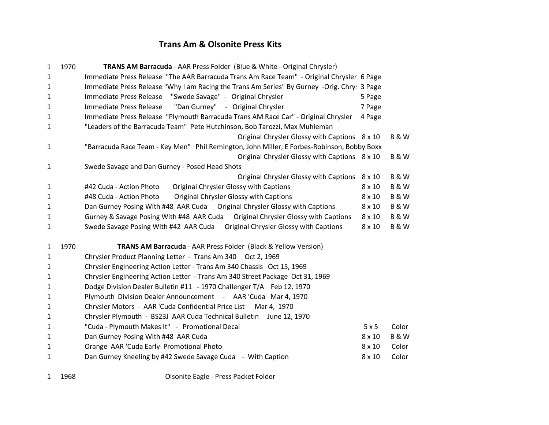## **Trans Am & Olsonite Press Kits**

| 1            | 1970 | TRANS AM Barracuda - AAR Press Folder (Blue & White - Original Chrysler)                    |               |                |
|--------------|------|---------------------------------------------------------------------------------------------|---------------|----------------|
| $\mathbf{1}$ |      | Immediate Press Release "The AAR Barracuda Trans Am Race Team" - Original Chrysler 6 Page   |               |                |
| 1            |      | Immediate Press Release "Why I am Racing the Trans Am Series" By Gurney -Orig. Chry: 3 Page |               |                |
| $\mathbf{1}$ |      | Immediate Press Release "Swede Savage" - Original Chrysler                                  | 5 Page        |                |
| $\mathbf{1}$ |      | "Dan Gurney" - Original Chrysler<br>Immediate Press Release                                 | 7 Page        |                |
| $\mathbf{1}$ |      | Immediate Press Release "Plymouth Barracuda Trans AM Race Car" - Original Chrysler          | 4 Page        |                |
| $\mathbf{1}$ |      | "Leaders of the Barracuda Team" Pete Hutchinson, Bob Tarozzi, Max Muhleman                  |               |                |
|              |      | Original Chrysler Glossy with Captions 8 x 10                                               |               | <b>B&amp;W</b> |
| 1            |      | "Barracuda Race Team - Key Men" Phil Remington, John Miller, E Forbes-Robinson, Bobby Boxx  |               |                |
|              |      | Original Chrysler Glossy with Captions 8 x 10                                               |               | <b>B&amp;W</b> |
| 1            |      | Swede Savage and Dan Gurney - Posed Head Shots                                              |               |                |
|              |      | Original Chrysler Glossy with Captions                                                      | $8 \times 10$ | <b>B&amp;W</b> |
| 1            |      | <b>Original Chrysler Glossy with Captions</b><br>#42 Cuda - Action Photo                    | $8 \times 10$ | <b>B&amp;W</b> |
| $\mathbf{1}$ |      | Original Chrysler Glossy with Captions<br>#48 Cuda - Action Photo                           | $8 \times 10$ | <b>B&amp;W</b> |
| 1            |      | Dan Gurney Posing With #48 AAR Cuda  Original Chrysler Glossy with Captions                 | $8 \times 10$ | <b>B&amp;W</b> |
| $\mathbf{1}$ |      | Gurney & Savage Posing With #48 AAR Cuda  Original Chrysler Glossy with Captions            | $8 \times 10$ | <b>B&amp;W</b> |
| $\mathbf{1}$ |      | Swede Savage Posing With #42 AAR Cuda  Original Chrysler Glossy with Captions               | $8 \times 10$ | <b>B&amp;W</b> |
| $\mathbf{1}$ | 1970 | TRANS AM Barracuda - AAR Press Folder (Black & Yellow Version)                              |               |                |
| 1            |      | Chrysler Product Planning Letter - Trans Am 340 Oct 2, 1969                                 |               |                |
| 1            |      | Chrysler Engineering Action Letter - Trans Am 340 Chassis Oct 15, 1969                      |               |                |
| $\mathbf{1}$ |      | Chrysler Engineering Action Letter - Trans Am 340 Street Package Oct 31, 1969               |               |                |
| $\mathbf{1}$ |      | Dodge Division Dealer Bulletin #11 - 1970 Challenger T/A Feb 12, 1970                       |               |                |
| 1            |      | Plymouth Division Dealer Announcement - AAR 'Cuda Mar 4, 1970                               |               |                |
| $\mathbf{1}$ |      | Chrysler Motors - AAR 'Cuda Confidential Price List Mar 4, 1970                             |               |                |
| $\mathbf{1}$ |      | Chrysler Plymouth - BS23J AAR Cuda Technical Bulletin June 12, 1970                         |               |                |
| $\mathbf{1}$ |      | "Cuda - Plymouth Makes It" - Promotional Decal                                              | 5x5           | Color          |
| $\mathbf{1}$ |      | Dan Gurney Posing With #48 AAR Cuda                                                         | $8 \times 10$ | <b>B&amp;W</b> |
| $\mathbf{1}$ |      | Orange AAR 'Cuda Early Promotional Photo                                                    | $8 \times 10$ | Color          |
| 1            |      | Dan Gurney Kneeling by #42 Swede Savage Cuda - With Caption                                 | $8 \times 10$ | Color          |
|              |      |                                                                                             |               |                |

1968 Olsonite Eagle - Press Packet Folder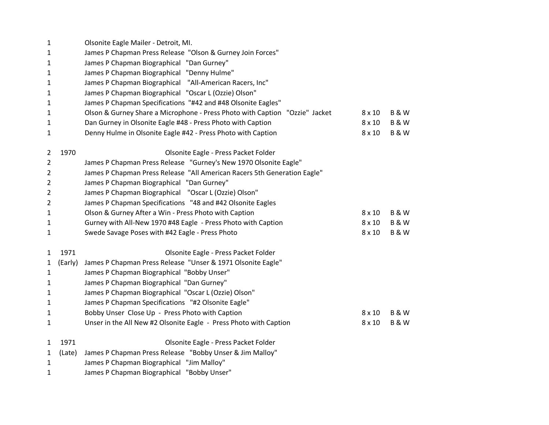| $\mathbf{1}$   |         | Olsonite Eagle Mailer - Detroit, MI.                                        |               |                |
|----------------|---------|-----------------------------------------------------------------------------|---------------|----------------|
| 1              |         | James P Chapman Press Release "Olson & Gurney Join Forces"                  |               |                |
| 1              |         | James P Chapman Biographical "Dan Gurney"                                   |               |                |
| 1              |         | James P Chapman Biographical "Denny Hulme"                                  |               |                |
| 1              |         | James P Chapman Biographical "All-American Racers, Inc"                     |               |                |
| 1              |         | James P Chapman Biographical "Oscar L (Ozzie) Olson"                        |               |                |
| 1              |         | James P Chapman Specifications "#42 and #48 Olsonite Eagles"                |               |                |
| 1              |         | Olson & Gurney Share a Microphone - Press Photo with Caption "Ozzie" Jacket | $8 \times 10$ | <b>B&amp;W</b> |
| 1              |         | Dan Gurney in Olsonite Eagle #48 - Press Photo with Caption                 | $8 \times 10$ | <b>B&amp;W</b> |
| 1              |         | Denny Hulme in Olsonite Eagle #42 - Press Photo with Caption                | $8 \times 10$ | <b>B&amp;W</b> |
| 2              | 1970    | Olsonite Eagle - Press Packet Folder                                        |               |                |
| 2              |         | James P Chapman Press Release "Gurney's New 1970 Olsonite Eagle"            |               |                |
| 2              |         | James P Chapman Press Release "All American Racers 5th Generation Eagle"    |               |                |
| 2              |         | James P Chapman Biographical "Dan Gurney"                                   |               |                |
| 2              |         | James P Chapman Biographical "Oscar L (Ozzie) Olson"                        |               |                |
| $\overline{2}$ |         | James P Chapman Specifications "48 and #42 Olsonite Eagles                  |               |                |
| 1              |         | Olson & Gurney After a Win - Press Photo with Caption                       | $8 \times 10$ | <b>B&amp;W</b> |
| $\mathbf{1}$   |         | Gurney with All-New 1970 #48 Eagle - Press Photo with Caption               | $8 \times 10$ | <b>B&amp;W</b> |
| 1              |         | Swede Savage Poses with #42 Eagle - Press Photo                             | $8 \times 10$ | <b>B&amp;W</b> |
| 1              | 1971    | Olsonite Eagle - Press Packet Folder                                        |               |                |
| 1              | (Early) | James P Chapman Press Release "Unser & 1971 Olsonite Eagle"                 |               |                |
| 1              |         | James P Chapman Biographical "Bobby Unser"                                  |               |                |
| 1              |         | James P Chapman Biographical "Dan Gurney"                                   |               |                |
| 1              |         | James P Chapman Biographical "Oscar L (Ozzie) Olson"                        |               |                |
| 1              |         | James P Chapman Specifications "#2 Olsonite Eagle"                          |               |                |
| 1              |         | Bobby Unser Close Up - Press Photo with Caption                             | $8 \times 10$ | <b>B&amp;W</b> |
| 1              |         | Unser in the All New #2 Olsonite Eagle - Press Photo with Caption           | $8 \times 10$ | <b>B&amp;W</b> |
| 1              | 1971    | Olsonite Eagle - Press Packet Folder                                        |               |                |
| 1              | (Late)  | James P Chapman Press Release "Bobby Unser & Jim Malloy"                    |               |                |
| 1              |         | James P Chapman Biographical "Jim Malloy"                                   |               |                |
| 1              |         | James P Chapman Biographical "Bobby Unser"                                  |               |                |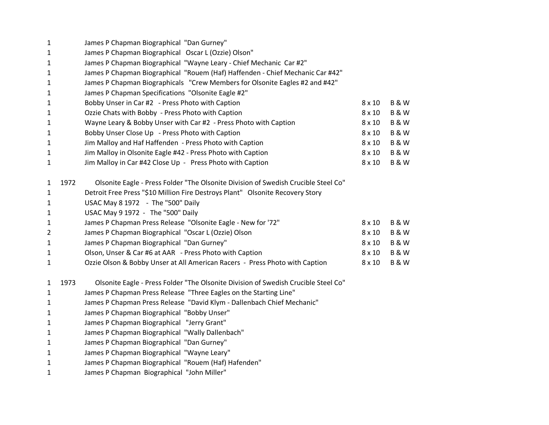| $\mathbf{1}$   |      | James P Chapman Biographical "Dan Gurney"                                          |               |                |
|----------------|------|------------------------------------------------------------------------------------|---------------|----------------|
| 1              |      | James P Chapman Biographical Oscar L (Ozzie) Olson"                                |               |                |
| 1              |      | James P Chapman Biographical "Wayne Leary - Chief Mechanic Car #2"                 |               |                |
| $\mathbf{1}$   |      | James P Chapman Biographical "Rouem (Haf) Haffenden - Chief Mechanic Car #42"      |               |                |
| $\mathbf{1}$   |      | James P Chapman Biographicals "Crew Members for Olsonite Eagles #2 and #42"        |               |                |
| 1              |      | James P Chapman Specifications "Olsonite Eagle #2"                                 |               |                |
| 1              |      | Bobby Unser in Car #2 - Press Photo with Caption                                   | $8 \times 10$ | <b>B&amp;W</b> |
| $\mathbf{1}$   |      | Ozzie Chats with Bobby - Press Photo with Caption                                  | $8 \times 10$ | <b>B&amp;W</b> |
| $\mathbf{1}$   |      | Wayne Leary & Bobby Unser with Car #2 - Press Photo with Caption                   | $8 \times 10$ | <b>B&amp;W</b> |
| $\mathbf{1}$   |      | Bobby Unser Close Up - Press Photo with Caption                                    | $8 \times 10$ | <b>B&amp;W</b> |
| $\mathbf{1}$   |      | Jim Malloy and Haf Haffenden - Press Photo with Caption                            | $8 \times 10$ | <b>B&amp;W</b> |
| $\mathbf{1}$   |      | Jim Malloy in Olsonite Eagle #42 - Press Photo with Caption                        | $8 \times 10$ | <b>B&amp;W</b> |
| $\mathbf{1}$   |      | Jim Malloy in Car #42 Close Up - Press Photo with Caption                          | $8 \times 10$ | <b>B&amp;W</b> |
|                |      |                                                                                    |               |                |
| 1              | 1972 | Olsonite Eagle - Press Folder "The Olsonite Division of Swedish Crucible Steel Co" |               |                |
| $\mathbf{1}$   |      | Detroit Free Press "\$10 Million Fire Destroys Plant" Olsonite Recovery Story      |               |                |
| $\mathbf{1}$   |      | USAC May 8 1972 - The "500" Daily                                                  |               |                |
| $\mathbf{1}$   |      | USAC May 9 1972 - The "500" Daily                                                  |               |                |
| $\mathbf{1}$   |      | James P Chapman Press Release "Olsonite Eagle - New for '72"                       | $8 \times 10$ | <b>B&amp;W</b> |
| $\overline{2}$ |      | James P Chapman Biographical "Oscar L (Ozzie) Olson                                | $8 \times 10$ | <b>B&amp;W</b> |
| $\mathbf{1}$   |      | James P Chapman Biographical "Dan Gurney"                                          | $8 \times 10$ | <b>B&amp;W</b> |
| $\mathbf{1}$   |      | Olson, Unser & Car #6 at AAR - Press Photo with Caption                            | $8 \times 10$ | <b>B&amp;W</b> |
| $\mathbf{1}$   |      | Ozzie Olson & Bobby Unser at All American Racers - Press Photo with Caption        | $8 \times 10$ | <b>B&amp;W</b> |
| $\mathbf{1}$   | 1973 | Olsonite Eagle - Press Folder "The Olsonite Division of Swedish Crucible Steel Co" |               |                |
| $\mathbf{1}$   |      | James P Chapman Press Release "Three Eagles on the Starting Line"                  |               |                |
| 1              |      | James P Chapman Press Release "David Klym - Dallenbach Chief Mechanic"             |               |                |
| $\mathbf{1}$   |      | James P Chapman Biographical "Bobby Unser"                                         |               |                |
| $\mathbf{1}$   |      | James P Chapman Biographical "Jerry Grant"                                         |               |                |
| $\mathbf{1}$   |      | James P Chapman Biographical "Wally Dallenbach"                                    |               |                |
| $\mathbf{1}$   |      | James P Chapman Biographical "Dan Gurney"                                          |               |                |
| $\mathbf{1}$   |      | James P Chapman Biographical "Wayne Leary"                                         |               |                |
| $\mathbf{1}$   |      | James P Chapman Biographical "Rouem (Haf) Hafenden"                                |               |                |
| $\mathbf{1}$   |      | James P Chapman Biographical "John Miller"                                         |               |                |
|                |      |                                                                                    |               |                |